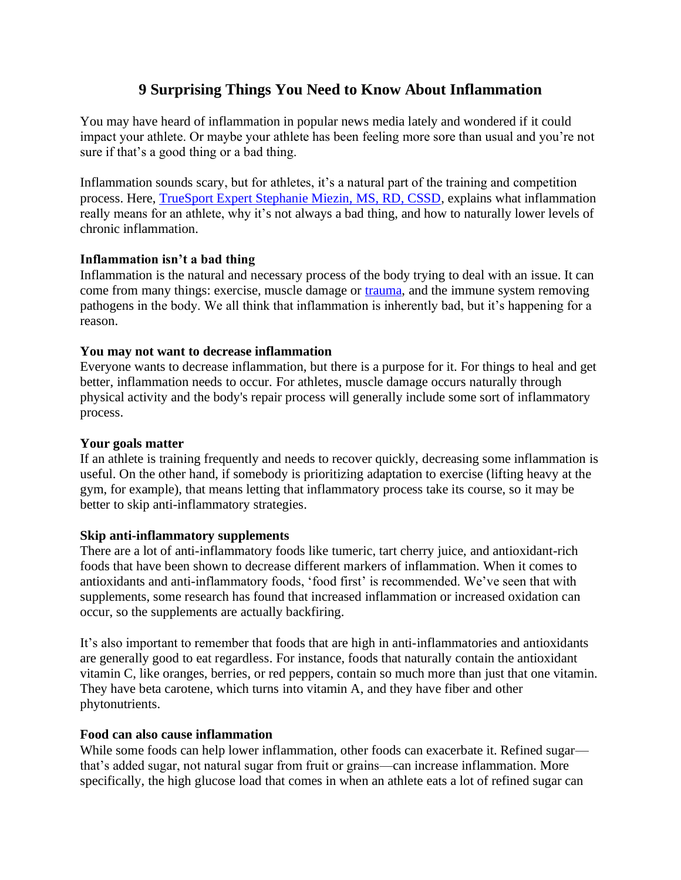# **9 Surprising Things You Need to Know About Inflammation**

You may have heard of inflammation in popular news media lately and wondered if it could impact your athlete. Or maybe your athlete has been feeling more sore than usual and you're not sure if that's a good thing or a bad thing.

Inflammation sounds scary, but for athletes, it's a natural part of the training and competition process. Here, [TrueSport Expert Stephanie Miezin, MS, RD, CSSD,](https://truesport.org/about/trueexperts/) explains what inflammation really means for an athlete, why it's not always a bad thing, and how to naturally lower levels of chronic inflammation.

### **Inflammation isn't a bad thing**

Inflammation is the natural and necessary process of the body trying to deal with an issue. It can come from many things: exercise, muscle damage or [trauma,](https://truesport.org/nutrition/nutrition-tips-heal-sports-injury/) and the immune system removing pathogens in the body. We all think that inflammation is inherently bad, but it's happening for a reason.

#### **You may not want to decrease inflammation**

Everyone wants to decrease inflammation, but there is a purpose for it. For things to heal and get better, inflammation needs to occur. For athletes, muscle damage occurs naturally through physical activity and the body's repair process will generally include some sort of inflammatory process.

#### **Your goals matter**

If an athlete is training frequently and needs to recover quickly, decreasing some inflammation is useful. On the other hand, if somebody is prioritizing adaptation to exercise (lifting heavy at the gym, for example), that means letting that inflammatory process take its course, so it may be better to skip anti-inflammatory strategies.

### **Skip anti-inflammatory supplements**

There are a lot of anti-inflammatory foods like tumeric, tart cherry juice, and antioxidant-rich foods that have been shown to decrease different markers of inflammation. When it comes to antioxidants and anti-inflammatory foods, 'food first' is recommended. We've seen that with supplements, some research has found that increased inflammation or increased oxidation can occur, so the supplements are actually backfiring.

It's also important to remember that foods that are high in anti-inflammatories and antioxidants are generally good to eat regardless. For instance, foods that naturally contain the antioxidant vitamin C, like oranges, berries, or red peppers, contain so much more than just that one vitamin. They have beta carotene, which turns into vitamin A, and they have fiber and other phytonutrients.

#### **Food can also cause inflammation**

While some foods can help lower inflammation, other foods can exacerbate it. Refined sugar that's added sugar, not natural sugar from fruit or grains—can increase inflammation. More specifically, the high glucose load that comes in when an athlete eats a lot of refined sugar can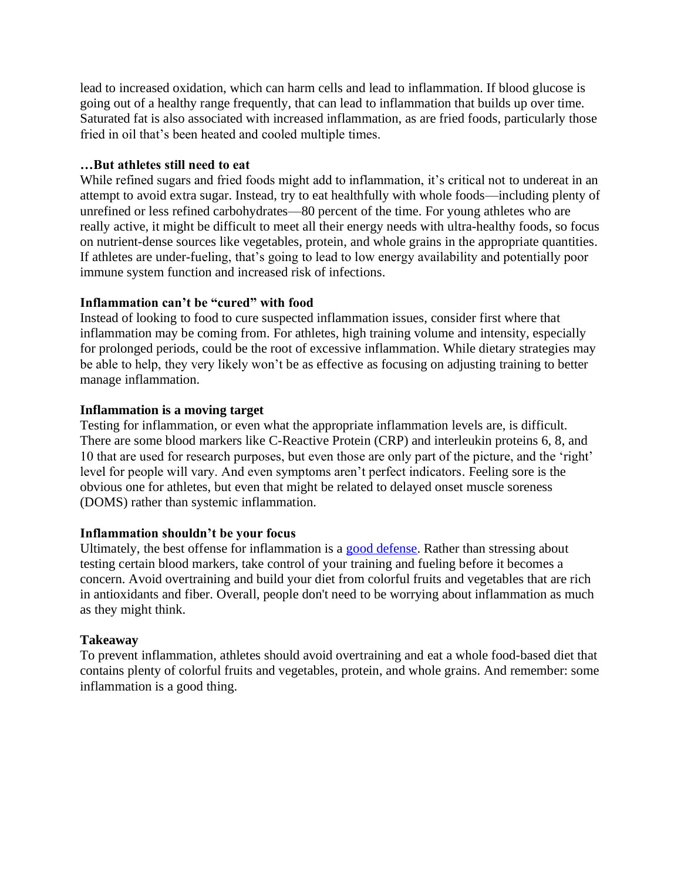lead to increased oxidation, which can harm cells and lead to inflammation. If blood glucose is going out of a healthy range frequently, that can lead to inflammation that builds up over time. Saturated fat is also associated with increased inflammation, as are fried foods, particularly those fried in oil that's been heated and cooled multiple times.

### **…But athletes still need to eat**

While refined sugars and fried foods might add to inflammation, it's critical not to undereat in an attempt to avoid extra sugar. Instead, try to eat healthfully with whole foods—including plenty of unrefined or less refined carbohydrates—80 percent of the time. For young athletes who are really active, it might be difficult to meet all their energy needs with ultra-healthy foods, so focus on nutrient-dense sources like vegetables, protein, and whole grains in the appropriate quantities. If athletes are under-fueling, that's going to lead to low energy availability and potentially poor immune system function and increased risk of infections.

# **Inflammation can't be "cured" with food**

Instead of looking to food to cure suspected inflammation issues, consider first where that inflammation may be coming from. For athletes, high training volume and intensity, especially for prolonged periods, could be the root of excessive inflammation. While dietary strategies may be able to help, they very likely won't be as effective as focusing on adjusting training to better manage inflammation.

### **Inflammation is a moving target**

Testing for inflammation, or even what the appropriate inflammation levels are, is difficult. There are some blood markers like C-Reactive Protein (CRP) and interleukin proteins 6, 8, and 10 that are used for research purposes, but even those are only part of the picture, and the 'right' level for people will vary. And even symptoms aren't perfect indicators. Feeling sore is the obvious one for athletes, but even that might be related to delayed onset muscle soreness (DOMS) rather than systemic inflammation.

### **Inflammation shouldn't be your focus**

Ultimately, the best offense for inflammation is a [good defense.](https://truesport.org/nutrition/eat-immune-support-covid-19/) Rather than stressing about testing certain blood markers, take control of your training and fueling before it becomes a concern. Avoid overtraining and build your diet from colorful fruits and vegetables that are rich in antioxidants and fiber. Overall, people don't need to be worrying about inflammation as much as they might think.

# **Takeaway**

To prevent inflammation, athletes should avoid overtraining and eat a whole food-based diet that contains plenty of colorful fruits and vegetables, protein, and whole grains. And remember: some inflammation is a good thing.